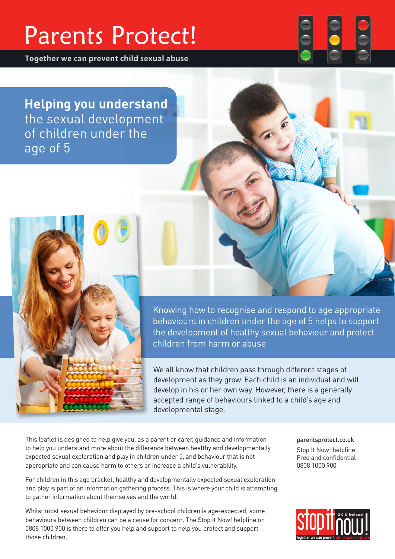# **Parents Protect!**

**Together we can prevent child sexual abuse**

**Helping you understand** the sexual development of children under the age of 5



Knowing how to recognise and respond to age appropriate behaviours in children under the age of 5 helps to support the development of healthy sexual behaviour and protect children from harm or abuse

We all know that children pass through different stages of development as they grow. Each child is an individual and will develop in his or her own way. However, there is a generally accepted range of behaviours linked to a child's age and developmental stage.

This leaflet is designed to help give you, as a parent or carer, guidance and information to help you understand more about the difference between healthy and developmentally expected sexual exploration and play in children under 5, and behaviour that is not appropriate and can cause harm to others or increase a child's vulnerability.

For children in this age bracket, healthy and developmentally expected sexual exploration and play is part of an information gathering process. This is where your child is attempting to gather information about themselves and the world.

Whilst most sexual behaviour displayed by pre-school children is age-expected, some behaviours between children can be a cause for concern. The Stop It Now! helpline on 0808 1000 900 is there to offer you help and support to help you protect and support those children.

parentsprotect.co.uk Stop It Now! helpline Free and confidential 0808 1000 900